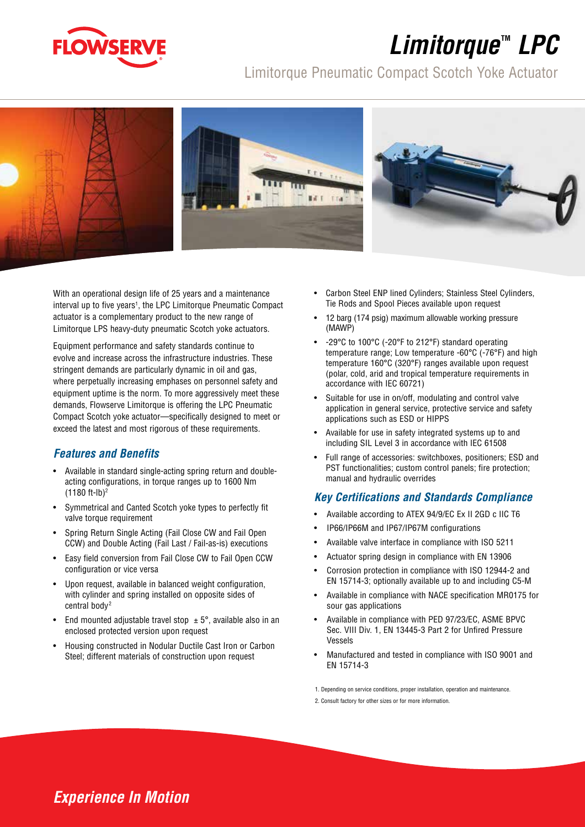

# *Limitorque***TM** *LPC*

## Limitorque Pneumatic Compact Scotch Yoke Actuator



With an operational design life of 25 years and a maintenance interval up to five years<sup>1</sup>, the LPC Limitorque Pneumatic Compact actuator is a complementary product to the new range of Limitorque LPS heavy-duty pneumatic Scotch yoke actuators.

Equipment performance and safety standards continue to evolve and increase across the infrastructure industries. These stringent demands are particularly dynamic in oil and gas, where perpetually increasing emphases on personnel safety and equipment uptime is the norm. To more aggressively meet these demands, Flowserve Limitorque is offering the LPC Pneumatic Compact Scotch yoke actuator—specifically designed to meet or exceed the latest and most rigorous of these requirements.

#### *Features and Benefits*

- Available in standard single-acting spring return and doubleacting configurations, in torque ranges up to 1600 Nm (1180 ft-lb)2
- Symmetrical and Canted Scotch yoke types to perfectly fit valve torque requirement
- Spring Return Single Acting (Fail Close CW and Fail Open CCW) and Double Acting (Fail Last / Fail-as-is) executions
- Easy field conversion from Fail Close CW to Fail Open CCW configuration or vice versa
- Upon request, available in balanced weight configuration, with cylinder and spring installed on opposite sides of central body<sup>2</sup>
- End mounted adjustable travel stop  $\pm$  5°, available also in an enclosed protected version upon request
- Housing constructed in Nodular Ductile Cast Iron or Carbon Steel; different materials of construction upon request
- Carbon Steel ENP lined Cylinders; Stainless Steel Cylinders, Tie Rods and Spool Pieces available upon request
- 12 barg (174 psig) maximum allowable working pressure (MAWP)
- -29°C to 100°C (-20°F to 212°F) standard operating temperature range; Low temperature -60°C (-76°F) and high temperature 160°C (320°F) ranges available upon request (polar, cold, arid and tropical temperature requirements in accordance with IEC 60721)
- Suitable for use in on/off, modulating and control valve application in general service, protective service and safety applications such as ESD or HIPPS
- Available for use in safety integrated systems up to and including SIL Level 3 in accordance with IEC 61508
- Full range of accessories: switchboxes, positioners; ESD and PST functionalities; custom control panels; fire protection; manual and hydraulic overrides

## *Key Certifications and Standards Compliance*

- Available according to ATEX 94/9/EC Ex II 2GD c IIC T6
- IP66/IP66M and IP67/IP67M configurations
- Available valve interface in compliance with ISO 5211
- Actuator spring design in compliance with EN 13906
- Corrosion protection in compliance with ISO 12944-2 and EN 15714-3; optionally available up to and including C5-M
- Available in compliance with NACE specification MR0175 for sour gas applications
- Available in compliance with PED 97/23/EC, ASME BPVC Sec. VIII Div. 1, EN 13445-3 Part 2 for Unfired Pressure Vessels
- Manufactured and tested in compliance with ISO 9001 and EN 15714-3

1. Depending on service conditions, proper installation, operation and maintenance.

2. Consult factory for other sizes or for more information.

## *Experience In Motion*